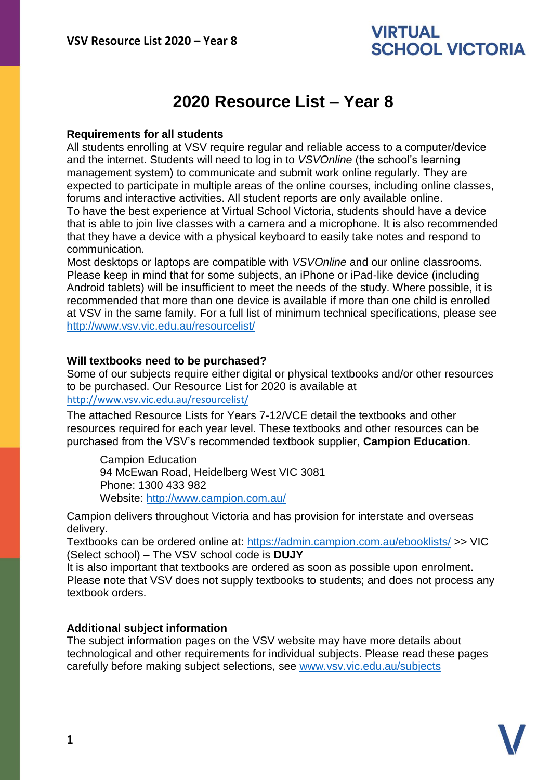## **VIRTUAL SCHOOL VICTORIA**

# **2020 Resource List – Year 8**

#### **Requirements for all students**

All students enrolling at VSV require regular and reliable access to a computer/device and the internet. Students will need to log in to *VSVOnline* (the school's learning management system) to communicate and submit work online regularly. They are expected to participate in multiple areas of the online courses, including online classes, forums and interactive activities. All student reports are only available online. To have the best experience at Virtual School Victoria, students should have a device that is able to join live classes with a camera and a microphone. It is also recommended that they have a device with a physical keyboard to easily take notes and respond to communication.

Most desktops or laptops are compatible with *VSVOnline* and our online classrooms. Please keep in mind that for some subjects, an iPhone or iPad-like device (including Android tablets) will be insufficient to meet the needs of the study. Where possible, it is recommended that more than one device is available if more than one child is enrolled at VSV in the same family. For a full list of minimum technical specifications, please see <http://www.vsv.vic.edu.au/resourcelist/>

#### **Will textbooks need to be purchased?**

Some of our subjects require either digital or physical textbooks and/or other resources to be purchased. Our Resource List for 2020 is available at

### [http://www.vsv.vic.edu.au/resourcelist/](http://www.vsv.vic.edu.au/resourcelist/%0d)

The attached Resource Lists for Years 7-12/VCE detail the textbooks and other resources required for each year level. These textbooks and other resources can be purchased from the VSV's recommended textbook supplier, **Campion Education**.

Campion Education 94 McEwan Road, Heidelberg West VIC 3081 Phone: 1300 433 982 Website:<http://www.campion.com.au/>

Campion delivers throughout Victoria and has provision for interstate and overseas delivery.

Textbooks can be ordered online at:<https://admin.campion.com.au/ebooklists/> >> VIC (Select school) – The VSV school code is **DUJY**

It is also important that textbooks are ordered as soon as possible upon enrolment. Please note that VSV does not supply textbooks to students; and does not process any textbook orders.

#### **Additional subject information**

The subject information pages on the VSV website may have more details about technological and other requirements for individual subjects. Please read these pages carefully before making subject selections, see [www.vsv.vic.edu.au/subjects](http://www.vsv.vic.edu.au/subjects%0d)